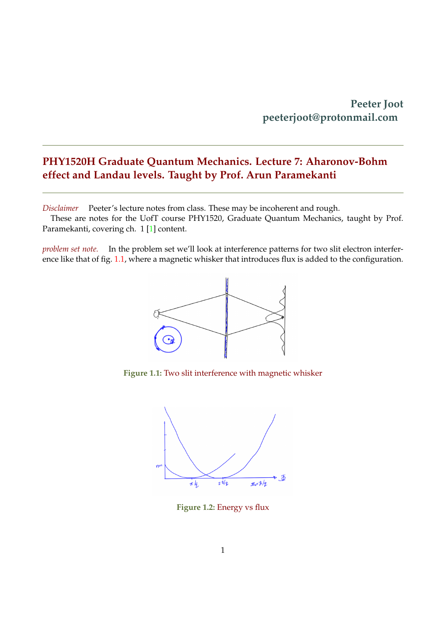## <span id="page-0-1"></span>**PHY1520H Graduate Quantum Mechanics. Lecture 7: Aharonov-Bohm effect and Landau levels. Taught by Prof. Arun Paramekanti**

*Disclaimer* Peeter's lecture notes from class. These may be incoherent and rough.

These are notes for the UofT course PHY1520, Graduate Quantum Mechanics, taught by Prof. Paramekanti, covering ch. 1 [\[1\]](#page-5-0) content.

<span id="page-0-0"></span>*problem set note.* In the problem set we'll look at interference patterns for two slit electron interference like that of fig. [1.1,](#page-0-0) where a magnetic whisker that introduces flux is added to the configuration.



**Figure 1.1:** Two slit interference with magnetic whisker



**Figure 1.2:** Energy vs flux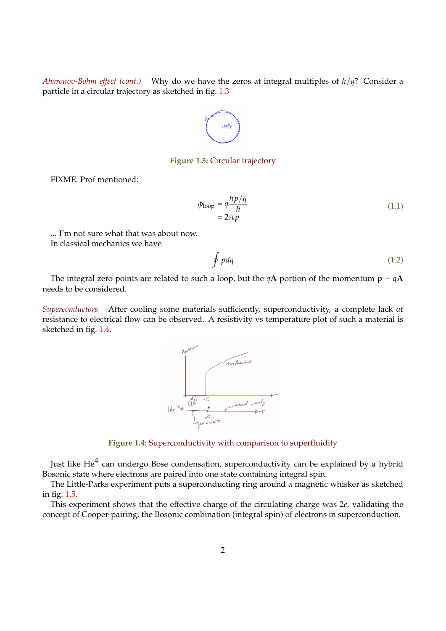<span id="page-1-0"></span>*Aharonov-Bohm effect (cont.)* Why do we have the zeros at integral multiples of *h*/*q*? Consider a particle in a circular trajectory as sketched in fig. [1.3](#page-1-0)



#### **Figure 1.3:** Circular trajectory

FIXME: Prof mentioned:

$$
\phi_{\text{loop}} = q \frac{hp/q}{\hbar} \tag{1.1}
$$
\n
$$
= 2\pi p
$$

... I'm not sure what that was about now.

In classical mechanics we have

$$
\oint pdq \tag{1.2}
$$

The integral zero points are related to such a loop, but the  $qA$  portion of the momentum  $p - qA$ needs to be considered.

<span id="page-1-1"></span>*Superconductors* After cooling some materials sufficiently, superconductivity, a complete lack of resistance to electrical flow can be observed. A resistivity vs temperature plot of such a material is sketched in fig. [1.4.](#page-1-1)



**Figure 1.4:** Superconductivity with comparison to superfluidity

Just like He $^4$  can undergo Bose condensation, superconductivity can be explained by a hybrid Bosonic state where electrons are paired into one state containing integral spin.

The Little-Parks experiment puts a superconducting ring around a magnetic whisker as sketched in fig. [1.5.](#page-2-0)

This experiment shows that the effective charge of the circulating charge was 2*e*, validating the concept of Cooper-pairing, the Bosonic combination (integral spin) of electrons in superconduction.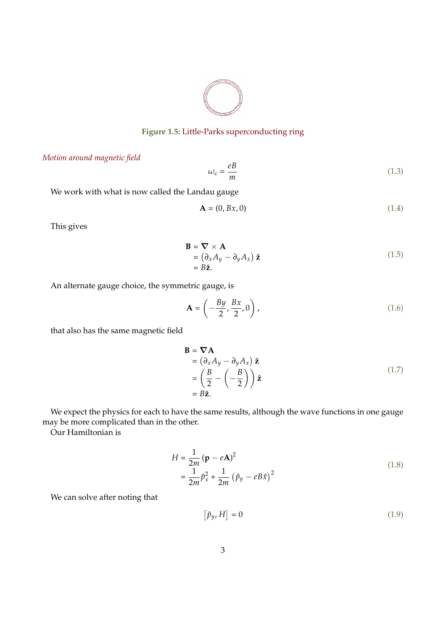

### **Figure 1.5:** Little-Parks superconducting ring

### <span id="page-2-0"></span>*Motion around magnetic field*

$$
\omega_{\rm c} = \frac{eB}{m} \tag{1.3}
$$

We work with what is now called the Landau gauge

$$
\mathbf{A} = (0, Bx, 0) \tag{1.4}
$$

This gives

$$
\mathbf{B} = \nabla \times \mathbf{A} \n= (\partial_x A_y - \partial_y A_x) \hat{\mathbf{z}} \n= B \hat{\mathbf{z}}.
$$
\n(1.5)

An alternate gauge choice, the symmetric gauge, is

$$
\mathbf{A} = \left(-\frac{By}{2}, \frac{Bx}{2}, 0\right),\tag{1.6}
$$

that also has the same magnetic field

$$
\mathbf{B} = \nabla \mathbf{A} \n= (\partial_x A_y - \partial_y A_x) \hat{\mathbf{z}} \n= \left(\frac{B}{2} - \left(-\frac{B}{2}\right)\right) \hat{\mathbf{z}} \n= B\hat{\mathbf{z}}.
$$
\n(1.7)

We expect the physics for each to have the same results, although the wave functions in one gauge may be more complicated than in the other.

Our Hamiltonian is

$$
H = \frac{1}{2m} (\mathbf{p} - e\mathbf{A})^2
$$
  
=  $\frac{1}{2m} \hat{p}_x^2 + \frac{1}{2m} (\hat{p}_y - eB\hat{x})^2$  (1.8)

We can solve after noting that

$$
\left[\hat{p}_y, H\right] = 0\tag{1.9}
$$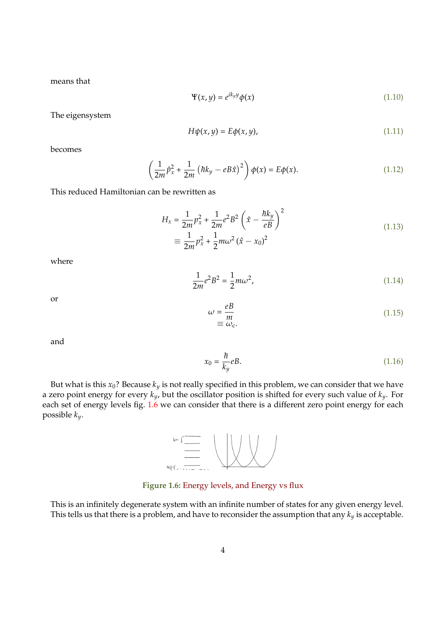means that

$$
\Psi(x, y) = e^{ik_y y} \phi(x) \tag{1.10}
$$

The eigensystem

$$
H\psi(x,y) = E\phi(x,y),\tag{1.11}
$$

becomes

$$
\left(\frac{1}{2m}\hat{p}_x^2 + \frac{1}{2m}\left(\hbar k_y - eB\hat{x}\right)^2\right)\phi(x) = E\phi(x). \tag{1.12}
$$

This reduced Hamiltonian can be rewritten as

$$
H_x = \frac{1}{2m} p_x^2 + \frac{1}{2m} e^2 B^2 \left( \hat{x} - \frac{\hbar k_y}{eB} \right)^2
$$
  

$$
\equiv \frac{1}{2m} p_x^2 + \frac{1}{2} m \omega^2 (\hat{x} - x_0)^2
$$
 (1.13)

where

$$
\frac{1}{2m}e^2B^2 = \frac{1}{2}m\omega^2,
$$
\n(1.14)

or

$$
\begin{aligned}\n\omega &= \frac{eB}{m} \\
\equiv \omega_c.\n\end{aligned} \tag{1.15}
$$

and

$$
x_0 = \frac{\hbar}{k_y} eB. \tag{1.16}
$$

<span id="page-3-0"></span>But what is this  $x_0$ ? Because  $k_y$  is not really specified in this problem, we can consider that we have a zero point energy for every *ky*, but the oscillator position is shifted for every such value of *ky*. For each set of energy levels fig. [1.6](#page-3-0) we can consider that there is a different zero point energy for each possible *ky*.



**Figure 1.6:** Energy levels, and Energy vs flux

This is an infinitely degenerate system with an infinite number of states for any given energy level. This tells us that there is a problem, and have to reconsider the assumption that any *k<sup>y</sup>* is acceptable.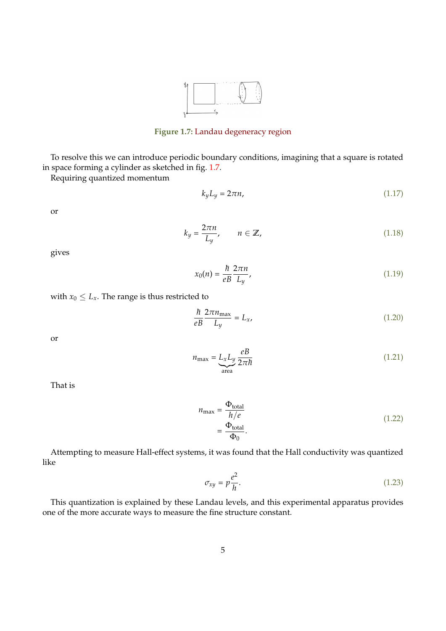

**Figure 1.7:** Landau degeneracy region

<span id="page-4-0"></span>To resolve this we can introduce periodic boundary conditions, imagining that a square is rotated in space forming a cylinder as sketched in fig. [1.7.](#page-4-0)

Requiring quantized momentum

$$
k_y L_y = 2\pi n, \tag{1.17}
$$

or

$$
k_y = \frac{2\pi n}{L_y}, \qquad n \in \mathbb{Z}, \tag{1.18}
$$

gives

$$
x_0(n) = \frac{\hbar}{eB} \frac{2\pi n}{L_y},\tag{1.19}
$$

with 
$$
x_0 \leq L_x
$$
. The range is thus restricted to

$$
\frac{\hbar}{eB} \frac{2\pi n_{\text{max}}}{L_y} = L_x,\tag{1.20}
$$

or

$$
n_{\text{max}} = \underbrace{L_x L_y \frac{eB}{2\pi\hbar}}_{\text{area}} \tag{1.21}
$$

That is

$$
n_{\text{max}} = \frac{\Phi_{\text{total}}}{h/e}
$$
  
= 
$$
\frac{\Phi_{\text{total}}}{\Phi_0}.
$$
 (1.22)

Attempting to measure Hall-effect systems, it was found that the Hall conductivity was quantized like

$$
\sigma_{xy} = p \frac{e^2}{h}.\tag{1.23}
$$

This quantization is explained by these Landau levels, and this experimental apparatus provides one of the more accurate ways to measure the fine structure constant.